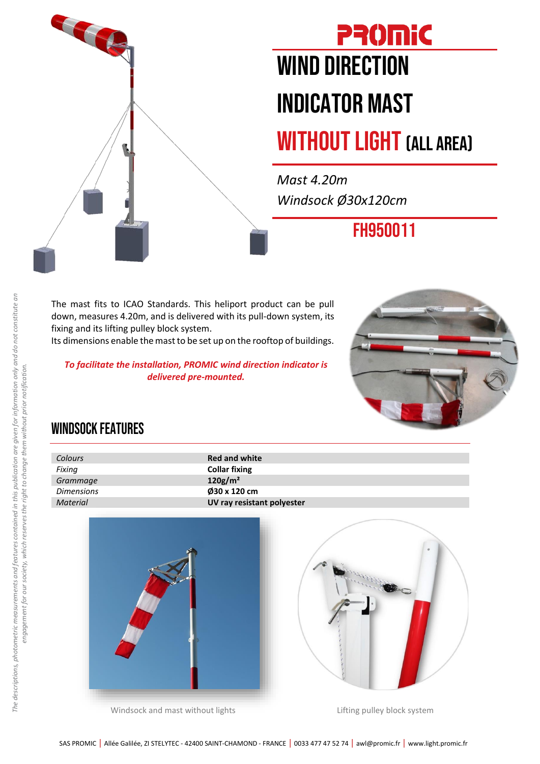

## **PROMIC** WIND DIRECTION INDICATOR MAST

## WITHOUT LIGHT (ALL AREA)

*Mast 4.20m Windsock Ø30x120cm*

FH950011

The mast fits to ICAO Standards. This heliport product can be pull down, measures 4.20m, and is delivered with its pull-down system, its fixing and its lifting pulley block system.

Its dimensions enable the mast to be set up on the rooftop of buildings.

*To facilitate the installation, PROMIC wind direction indicator is delivered pre-mounted.*



## WINDSOCK FEATURES

| Colours           | <b>Red and white</b>       |
|-------------------|----------------------------|
| Fixing            | <b>Collar fixing</b>       |
| Grammage          | $120$ g/m <sup>2</sup>     |
| <b>Dimensions</b> | 030 x 120 cm               |
| <b>Material</b>   | UV ray resistant polyester |
|                   |                            |



Windsock and mast without lights **Lifting pulley block** system